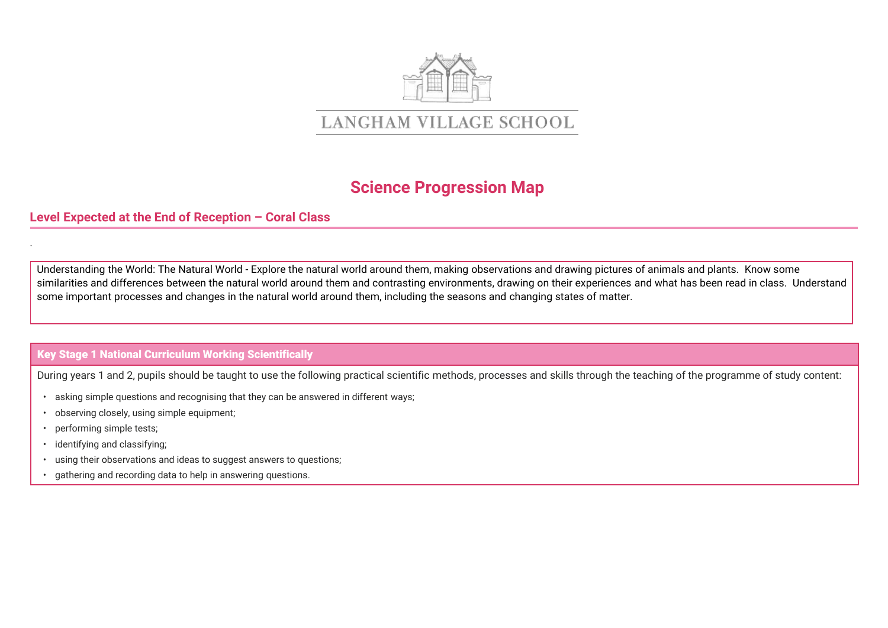

## **Science Progression Map**

## **Level Expected at the End of Reception – Coral Class**

Understanding the World: The Natural World - Explore the natural world around them, making observations and drawing pictures of animals and plants. Know some similarities and differences between the natural world around them and contrasting environments, drawing on their experiences and what has been read in class. Understand some important processes and changes in the natural world around them, including the seasons and changing states of matter.

## **Key Stage 1 National Curriculum Working Scientifically**

During years 1 and 2, pupils should be taught to use the following practical scientific methods, processes and skills through the teaching of the programme of study content:

- asking simple questions and recognising that they can be answered in different ways;
- observing closely, using simple equipment;
- performing simple tests;

.

- identifying and classifying;
- using their observations and ideas to suggest answers to questions;
- gathering and recording data to help in answering questions.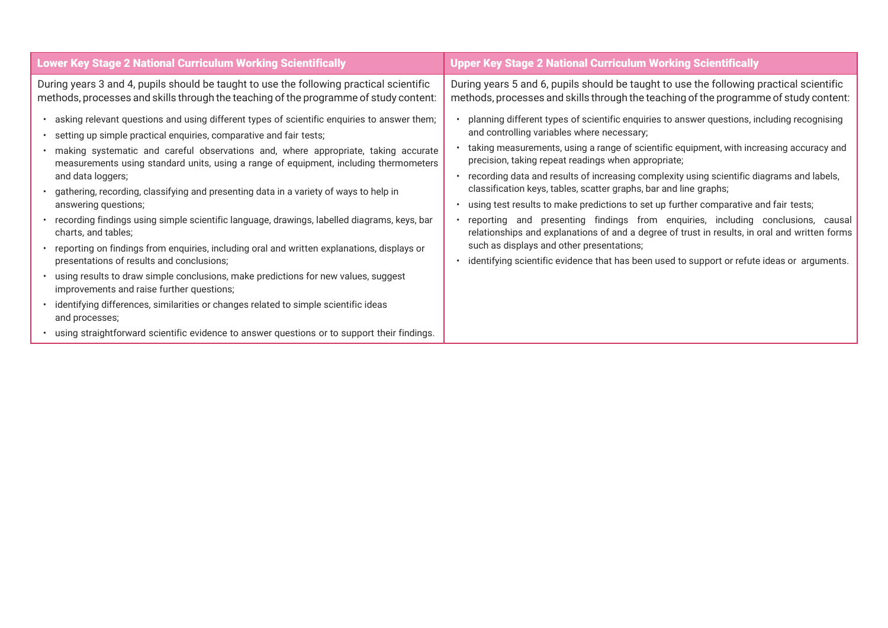| During years 3 and 4, pupils should be taught to use the following practical scientific<br>During years 5 and 6, pupils should be taught to use the following practical scientific<br>methods, processes and skills through the teaching of the programme of study content:<br>asking relevant questions and using different types of scientific enquiries to answer them;<br>planning different types of scientific enquiries to answer questions, including recognising<br>and controlling variables where necessary;<br>· setting up simple practical enquiries, comparative and fair tests;<br>taking measurements, using a range of scientific equipment, with increasing accuracy and<br>making systematic and careful observations and, where appropriate, taking accurate<br>precision, taking repeat readings when appropriate;<br>measurements using standard units, using a range of equipment, including thermometers<br>• recording data and results of increasing complexity using scientific diagrams and labels,<br>and data loggers;<br>classification keys, tables, scatter graphs, bar and line graphs;<br>· gathering, recording, classifying and presenting data in a variety of ways to help in<br>using test results to make predictions to set up further comparative and fair tests;<br>answering questions;<br>recording findings using simple scientific language, drawings, labelled diagrams, keys, bar<br>charts, and tables;<br>such as displays and other presentations;<br>reporting on findings from enquiries, including oral and written explanations, displays or<br>identifying scientific evidence that has been used to support or refute ideas or arguments.<br>presentations of results and conclusions;<br>using results to draw simple conclusions, make predictions for new values, suggest<br>improvements and raise further questions; | <b>Lower Key Stage 2 National Curriculum Working Scientifically</b>                 | Upper Key Stage 2 National Curriculum Working Scientifically                                                                                                                     |  |  |
|---------------------------------------------------------------------------------------------------------------------------------------------------------------------------------------------------------------------------------------------------------------------------------------------------------------------------------------------------------------------------------------------------------------------------------------------------------------------------------------------------------------------------------------------------------------------------------------------------------------------------------------------------------------------------------------------------------------------------------------------------------------------------------------------------------------------------------------------------------------------------------------------------------------------------------------------------------------------------------------------------------------------------------------------------------------------------------------------------------------------------------------------------------------------------------------------------------------------------------------------------------------------------------------------------------------------------------------------------------------------------------------------------------------------------------------------------------------------------------------------------------------------------------------------------------------------------------------------------------------------------------------------------------------------------------------------------------------------------------------------------------------------------------------------------------------------------------------------------------------------------------------|-------------------------------------------------------------------------------------|----------------------------------------------------------------------------------------------------------------------------------------------------------------------------------|--|--|
|                                                                                                                                                                                                                                                                                                                                                                                                                                                                                                                                                                                                                                                                                                                                                                                                                                                                                                                                                                                                                                                                                                                                                                                                                                                                                                                                                                                                                                                                                                                                                                                                                                                                                                                                                                                                                                                                                       |                                                                                     | methods, processes and skills through the teaching of the programme of study content:                                                                                            |  |  |
| and processes;<br>using straightforward scientific evidence to answer questions or to support their findings.                                                                                                                                                                                                                                                                                                                                                                                                                                                                                                                                                                                                                                                                                                                                                                                                                                                                                                                                                                                                                                                                                                                                                                                                                                                                                                                                                                                                                                                                                                                                                                                                                                                                                                                                                                         | identifying differences, similarities or changes related to simple scientific ideas | reporting and presenting findings from enquiries, including conclusions, causal<br>relationships and explanations of and a degree of trust in results, in oral and written forms |  |  |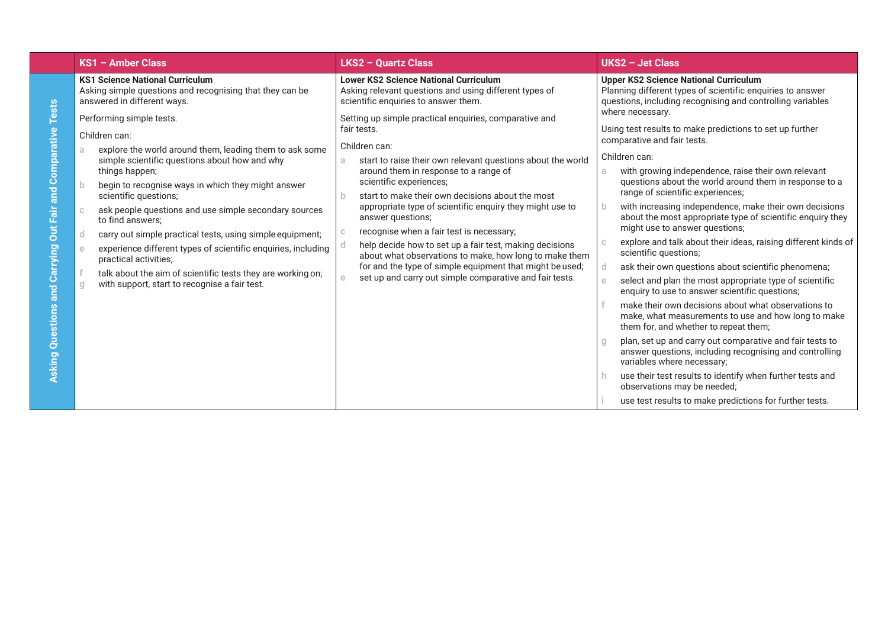|                                                                                                  | $KS1 -$ Amber Class                                                                                                                                                                                                                                                                                                                                                                                                                                                                                                                                                                                                                                  | <b>LKS2 - Quartz Class</b>                                                                                                                                                                                                                                                                                                                                                                                                                                                                                                                                                                                                                                                   | UKS2 - Jet Class                                                                                                                                                                                                                                                                                                                                                                                                                                                                                                                                                                                                                                                                                                                                                                                                                                                                                                                                                                                                                                                                                                          |
|--------------------------------------------------------------------------------------------------|------------------------------------------------------------------------------------------------------------------------------------------------------------------------------------------------------------------------------------------------------------------------------------------------------------------------------------------------------------------------------------------------------------------------------------------------------------------------------------------------------------------------------------------------------------------------------------------------------------------------------------------------------|------------------------------------------------------------------------------------------------------------------------------------------------------------------------------------------------------------------------------------------------------------------------------------------------------------------------------------------------------------------------------------------------------------------------------------------------------------------------------------------------------------------------------------------------------------------------------------------------------------------------------------------------------------------------------|---------------------------------------------------------------------------------------------------------------------------------------------------------------------------------------------------------------------------------------------------------------------------------------------------------------------------------------------------------------------------------------------------------------------------------------------------------------------------------------------------------------------------------------------------------------------------------------------------------------------------------------------------------------------------------------------------------------------------------------------------------------------------------------------------------------------------------------------------------------------------------------------------------------------------------------------------------------------------------------------------------------------------------------------------------------------------------------------------------------------------|
|                                                                                                  | <b>KS1 Science National Curriculum</b><br>Asking simple questions and recognising that they can be<br>answered in different ways.                                                                                                                                                                                                                                                                                                                                                                                                                                                                                                                    | <b>Lower KS2 Science National Curriculum</b><br>Asking relevant questions and using different types of<br>scientific enquiries to answer them.                                                                                                                                                                                                                                                                                                                                                                                                                                                                                                                               | <b>Upper KS2 Science National Curriculum</b><br>Planning different types of scientific enquiries to answer<br>questions, including recognising and controlling variables                                                                                                                                                                                                                                                                                                                                                                                                                                                                                                                                                                                                                                                                                                                                                                                                                                                                                                                                                  |
| <b>Tests</b><br>arative<br>and Comp<br><b>Out Fair</b><br>Carrying<br>and<br>Questions<br>Asking | Performing simple tests.<br>Children can:<br>explore the world around them, leading them to ask some<br>a<br>simple scientific questions about how and why<br>things happen;<br>begin to recognise ways in which they might answer<br>-b<br>scientific questions;<br>ask people questions and use simple secondary sources<br>$\mathbb{C}$<br>to find answers:<br>carry out simple practical tests, using simple equipment;<br>d<br>experience different types of scientific enquiries, including<br>e<br>practical activities;<br>talk about the aim of scientific tests they are working on;<br>with support, start to recognise a fair test.<br>g | Setting up simple practical enquiries, comparative and<br>fair tests.<br>Children can:<br>start to raise their own relevant questions about the world<br>a.<br>around them in response to a range of<br>scientific experiences;<br>start to make their own decisions about the most<br>appropriate type of scientific enquiry they might use to<br>answer questions;<br>recognise when a fair test is necessary;<br>help decide how to set up a fair test, making decisions<br>about what observations to make, how long to make them<br>for and the type of simple equipment that might be used;<br>set up and carry out simple comparative and fair tests.<br>$\mathbf{e}$ | where necessary.<br>Using test results to make predictions to set up further<br>comparative and fair tests.<br>Children can:<br>with growing independence, raise their own relevant<br>questions about the world around them in response to a<br>range of scientific experiences;<br>with increasing independence, make their own decisions<br>-b.<br>about the most appropriate type of scientific enquiry they<br>might use to answer questions;<br>explore and talk about their ideas, raising different kinds of<br>scientific questions;<br>ask their own questions about scientific phenomena;<br>select and plan the most appropriate type of scientific<br>enquiry to use to answer scientific questions;<br>make their own decisions about what observations to<br>make, what measurements to use and how long to make<br>them for, and whether to repeat them;<br>plan, set up and carry out comparative and fair tests to<br>answer questions, including recognising and controlling<br>variables where necessary;<br>use their test results to identify when further tests and<br>observations may be needed; |
|                                                                                                  |                                                                                                                                                                                                                                                                                                                                                                                                                                                                                                                                                                                                                                                      |                                                                                                                                                                                                                                                                                                                                                                                                                                                                                                                                                                                                                                                                              | use test results to make predictions for further tests.                                                                                                                                                                                                                                                                                                                                                                                                                                                                                                                                                                                                                                                                                                                                                                                                                                                                                                                                                                                                                                                                   |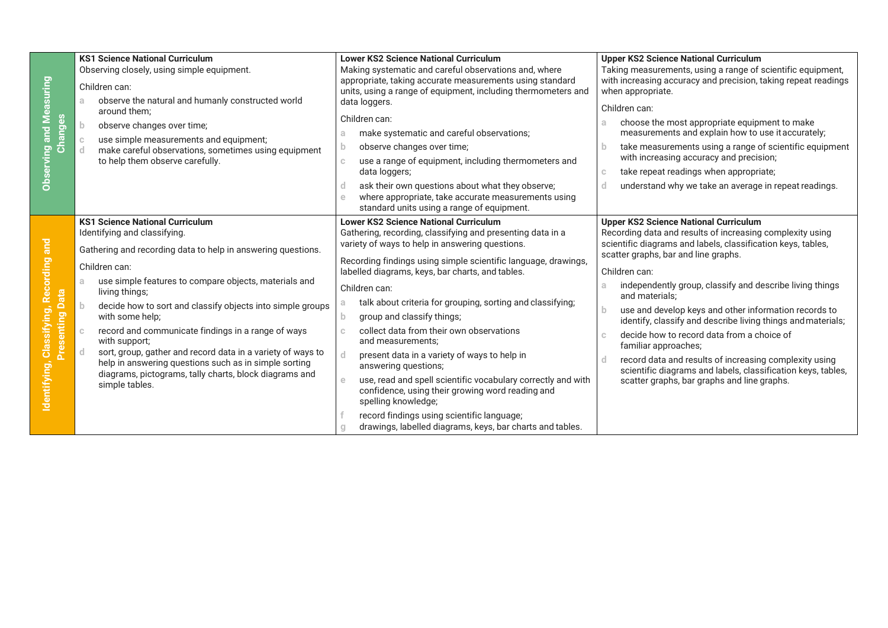| <b>Observing and Measuring</b><br>3<br>Durey<br>ក                    | <b>KS1 Science National Curriculum</b><br>Observing closely, using simple equipment.<br>Children can:<br>observe the natural and humanly constructed world<br>a.<br>around them:<br>$\mathbf{b}$<br>observe changes over time;<br>use simple measurements and equipment;<br>make careful observations, sometimes using equipment<br>to help them observe carefully.                                                                                                                                                                                                                                                        | <b>Lower KS2 Science National Curriculum</b><br>Making systematic and careful observations and, where<br>appropriate, taking accurate measurements using standard<br>units, using a range of equipment, including thermometers and<br>data loggers.<br>Children can:<br>make systematic and careful observations;<br>a<br>observe changes over time;<br>use a range of equipment, including thermometers and<br>$\mathbb{C}$<br>data loggers;<br>ask their own questions about what they observe;<br>d<br>where appropriate, take accurate measurements using<br>$\epsilon$<br>standard units using a range of equipment.                                                                                                                                                                                           | <b>Upper KS2 Science National Curriculum</b><br>Taking measurements, using a range of scientific equipment,<br>with increasing accuracy and precision, taking repeat readings<br>when appropriate.<br>Children can:<br>choose the most appropriate equipment to make<br>a.<br>measurements and explain how to use it accurately;<br>take measurements using a range of scientific equipment<br>b<br>with increasing accuracy and precision;<br>take repeat readings when appropriate;<br>C.<br>understand why we take an average in repeat readings.<br>d                                                                                                                                            |
|----------------------------------------------------------------------|----------------------------------------------------------------------------------------------------------------------------------------------------------------------------------------------------------------------------------------------------------------------------------------------------------------------------------------------------------------------------------------------------------------------------------------------------------------------------------------------------------------------------------------------------------------------------------------------------------------------------|---------------------------------------------------------------------------------------------------------------------------------------------------------------------------------------------------------------------------------------------------------------------------------------------------------------------------------------------------------------------------------------------------------------------------------------------------------------------------------------------------------------------------------------------------------------------------------------------------------------------------------------------------------------------------------------------------------------------------------------------------------------------------------------------------------------------|------------------------------------------------------------------------------------------------------------------------------------------------------------------------------------------------------------------------------------------------------------------------------------------------------------------------------------------------------------------------------------------------------------------------------------------------------------------------------------------------------------------------------------------------------------------------------------------------------------------------------------------------------------------------------------------------------|
| Classifying, Recording and<br>ata<br>≏<br>Presenting<br>Identifying, | <b>KS1 Science National Curriculum</b><br>Identifying and classifying.<br>Gathering and recording data to help in answering questions.<br>Children can:<br>use simple features to compare objects, materials and<br>a.<br>living things;<br>decide how to sort and classify objects into simple groups<br>with some help;<br>record and communicate findings in a range of ways<br>$\mathbb{C}$<br>with support;<br>sort, group, gather and record data in a variety of ways to<br>d.<br>help in answering questions such as in simple sorting<br>diagrams, pictograms, tally charts, block diagrams and<br>simple tables. | <b>Lower KS2 Science National Curriculum</b><br>Gathering, recording, classifying and presenting data in a<br>variety of ways to help in answering questions.<br>Recording findings using simple scientific language, drawings,<br>labelled diagrams, keys, bar charts, and tables.<br>Children can:<br>talk about criteria for grouping, sorting and classifying;<br>group and classify things;<br>b<br>collect data from their own observations<br>and measurements:<br>present data in a variety of ways to help in<br>answering questions;<br>use, read and spell scientific vocabulary correctly and with<br>$\triangle$<br>confidence, using their growing word reading and<br>spelling knowledge;<br>record findings using scientific language;<br>drawings, labelled diagrams, keys, bar charts and tables. | <b>Upper KS2 Science National Curriculum</b><br>Recording data and results of increasing complexity using<br>scientific diagrams and labels, classification keys, tables,<br>scatter graphs, bar and line graphs.<br>Children can:<br>independently group, classify and describe living things<br>a.<br>and materials;<br>use and develop keys and other information records to<br>identify, classify and describe living things and materials;<br>decide how to record data from a choice of<br>C.<br>familiar approaches;<br>record data and results of increasing complexity using<br>scientific diagrams and labels, classification keys, tables,<br>scatter graphs, bar graphs and line graphs. |